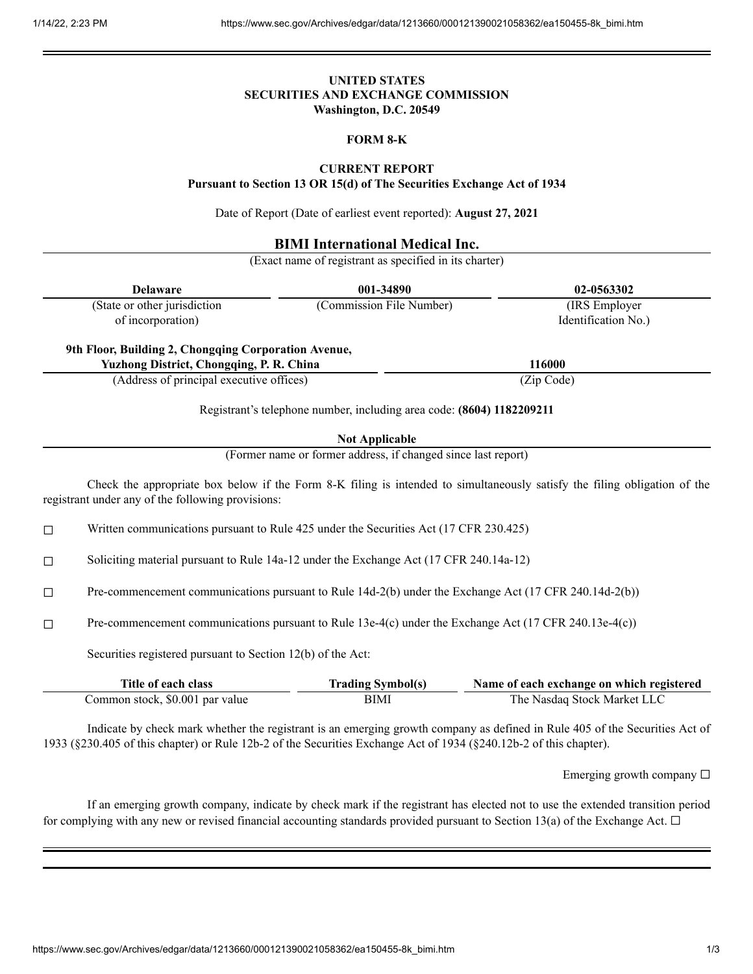# **UNITED STATES SECURITIES AND EXCHANGE COMMISSION Washington, D.C. 20549**

#### **FORM 8-K**

## **CURRENT REPORT**

**Pursuant to Section 13 OR 15(d) of The Securities Exchange Act of 1934**

Date of Report (Date of earliest event reported): **August 27, 2021**

# **BIMI International Medical Inc.**

(Exact name of registrant as specified in its charter)

| <b>Delaware</b>                                                                                         | 001-34890                | 02-0563302          |
|---------------------------------------------------------------------------------------------------------|--------------------------|---------------------|
| (State or other jurisdiction                                                                            | (Commission File Number) | (IRS Employer)      |
| of incorporation)                                                                                       |                          | Identification No.) |
| 9th Floor, Building 2, Chongqing Corporation Avenue,<br><b>Yuzhong District, Chongqing, P. R. China</b> |                          | 116000              |
|                                                                                                         |                          |                     |
| (Address of principal executive offices)                                                                |                          | (Zip Code)          |

Registrant's telephone number, including area code: **(8604) 1182209211**

## **Not Applicable**

(Former name or former address, if changed since last report)

Check the appropriate box below if the Form 8-K filing is intended to simultaneously satisfy the filing obligation of the registrant under any of the following provisions:

 $\Box$  Written communications pursuant to Rule 425 under the Securities Act (17 CFR 230.425)

☐ Soliciting material pursuant to Rule 14a-12 under the Exchange Act (17 CFR 240.14a-12)

☐ Pre-commencement communications pursuant to Rule 14d-2(b) under the Exchange Act (17 CFR 240.14d-2(b))

☐ Pre-commencement communications pursuant to Rule 13e-4(c) under the Exchange Act (17 CFR 240.13e-4(c))

Securities registered pursuant to Section 12(b) of the Act:

| Title of each class             | <b>Trading Symbol(s)</b> | Name of each exchange on which registered |
|---------------------------------|--------------------------|-------------------------------------------|
| Common stock, \$0.001 par value | BIMI                     | The Nasdaq Stock Market LLC               |

Indicate by check mark whether the registrant is an emerging growth company as defined in Rule 405 of the Securities Act of 1933 (§230.405 of this chapter) or Rule 12b-2 of the Securities Exchange Act of 1934 (§240.12b-2 of this chapter).

Emerging growth company  $\Box$ 

If an emerging growth company, indicate by check mark if the registrant has elected not to use the extended transition period for complying with any new or revised financial accounting standards provided pursuant to Section 13(a) of the Exchange Act.  $\Box$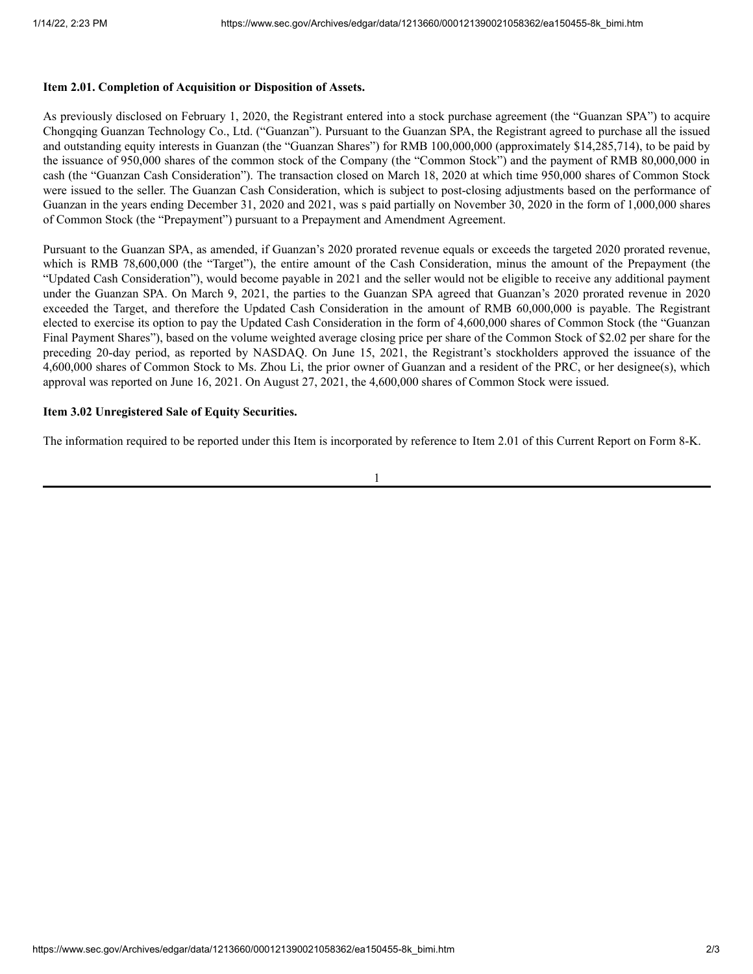## **Item 2.01. Completion of Acquisition or Disposition of Assets.**

As previously disclosed on February 1, 2020, the Registrant entered into a stock purchase agreement (the "Guanzan SPA") to acquire Chongqing Guanzan Technology Co., Ltd. ("Guanzan"). Pursuant to the Guanzan SPA, the Registrant agreed to purchase all the issued and outstanding equity interests in Guanzan (the "Guanzan Shares") for RMB 100,000,000 (approximately \$14,285,714), to be paid by the issuance of 950,000 shares of the common stock of the Company (the "Common Stock") and the payment of RMB 80,000,000 in cash (the "Guanzan Cash Consideration"). The transaction closed on March 18, 2020 at which time 950,000 shares of Common Stock were issued to the seller. The Guanzan Cash Consideration, which is subject to post-closing adjustments based on the performance of Guanzan in the years ending December 31, 2020 and 2021, was s paid partially on November 30, 2020 in the form of 1,000,000 shares of Common Stock (the "Prepayment") pursuant to a Prepayment and Amendment Agreement.

Pursuant to the Guanzan SPA, as amended, if Guanzan's 2020 prorated revenue equals or exceeds the targeted 2020 prorated revenue, which is RMB 78,600,000 (the "Target"), the entire amount of the Cash Consideration, minus the amount of the Prepayment (the "Updated Cash Consideration"), would become payable in 2021 and the seller would not be eligible to receive any additional payment under the Guanzan SPA. On March 9, 2021, the parties to the Guanzan SPA agreed that Guanzan's 2020 prorated revenue in 2020 exceeded the Target, and therefore the Updated Cash Consideration in the amount of RMB 60,000,000 is payable. The Registrant elected to exercise its option to pay the Updated Cash Consideration in the form of 4,600,000 shares of Common Stock (the "Guanzan Final Payment Shares"), based on the volume weighted average closing price per share of the Common Stock of \$2.02 per share for the preceding 20-day period, as reported by NASDAQ. On June 15, 2021, the Registrant's stockholders approved the issuance of the 4,600,000 shares of Common Stock to Ms. Zhou Li, the prior owner of Guanzan and a resident of the PRC, or her designee(s), which approval was reported on June 16, 2021. On August 27, 2021, the 4,600,000 shares of Common Stock were issued.

## **Item 3.02 Unregistered Sale of Equity Securities.**

The information required to be reported under this Item is incorporated by reference to Item 2.01 of this Current Report on Form 8-K.